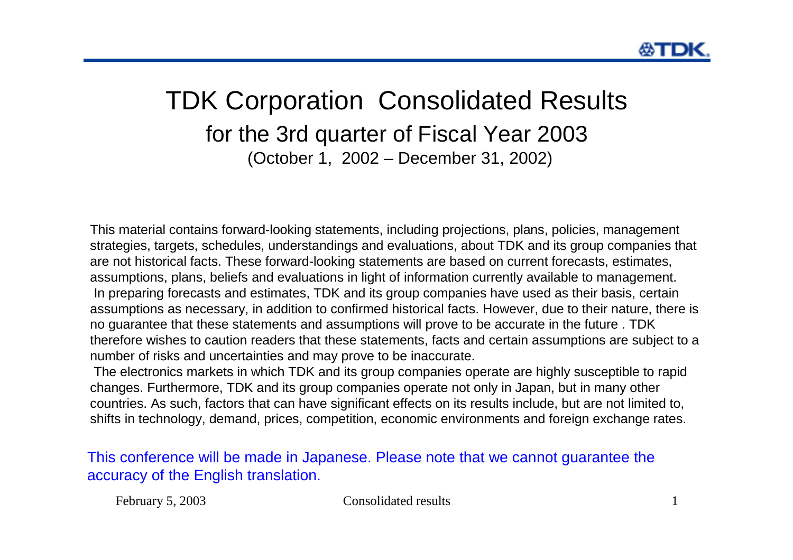### TDK Corporation Consolidated Results for the 3rd quarter of Fiscal Year 2003 (October 1, 2002 – December 31, 2002)

This material contains forward-looking statements, including projections, plans, policies, management strategies, targets, schedules, understandings and evaluations, about TDK and its group companies that are not historical facts. These forward-looking statements are based on current forecasts, estimates, assumptions, plans, beliefs and evaluations in light of information currently available to management. In preparing forecasts and estimates, TDK and its group companies have used as their basis, certain assumptions as necessary, in addition to confirmed historical facts. However, due to their nature, there is no guarantee that these statements and assumptions will prove to be accurate in the future . TDK therefore wishes to caution readers that these statements, facts and certain assumptions are subject to a number of risks and uncertainties and may prove to be inaccurate.

The electronics markets in which TDK and its group companies operate are highly susceptible to rapid changes. Furthermore, TDK and its group companies operate not only in Japan, but in many other countries. As such, factors that can have significant effects on its results include, but are not limited to, shifts in technology, demand, prices, competition, economic environments and foreign exchange rates.

This conference will be made in Japanese. Please note that we cannot guarantee the accuracy of the English translation.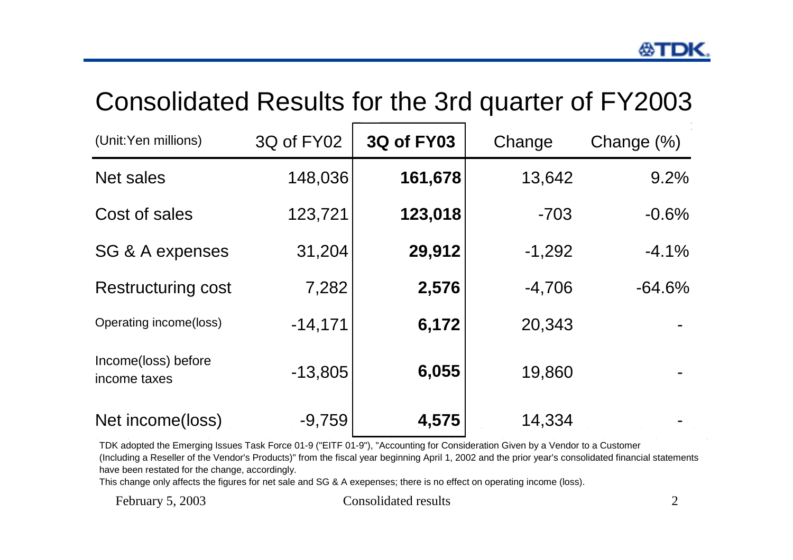### Consolidated Results for the 3rd quarter of FY2003

| (Unit:Yen millions)                 | 3Q of FY02 | <b>3Q of FY03</b> | Change   | Change $(\%)$ |
|-------------------------------------|------------|-------------------|----------|---------------|
| <b>Net sales</b>                    | 148,036    | 161,678           | 13,642   | 9.2%          |
| Cost of sales                       | 123,721    | 123,018           | $-703$   | $-0.6%$       |
| SG & A expenses                     | 31,204     | 29,912            | $-1,292$ | $-4.1%$       |
| <b>Restructuring cost</b>           | 7,282      | 2,576             | $-4,706$ | $-64.6%$      |
| Operating income(loss)              | $-14,171$  | 6,172             | 20,343   |               |
| Income(loss) before<br>income taxes | $-13,805$  | 6,055             | 19,860   |               |
| Net income(loss)                    | $-9,759$   | 4,575             | 14,334   |               |

TDK adopted the Emerging Issues Task Force 01-9 ("EITF 01-9"), "Accounting for Consideration Given by a Vendor to a Customer (Including a Reseller of the Vendor's Products)" from the fiscal year beginning April 1, 2002 and the prior year's consolidated financial statements have been restated for the change, accordingly.

This change only affects the figures for net sale and SG & A exepenses; there is no effect on operating income (loss).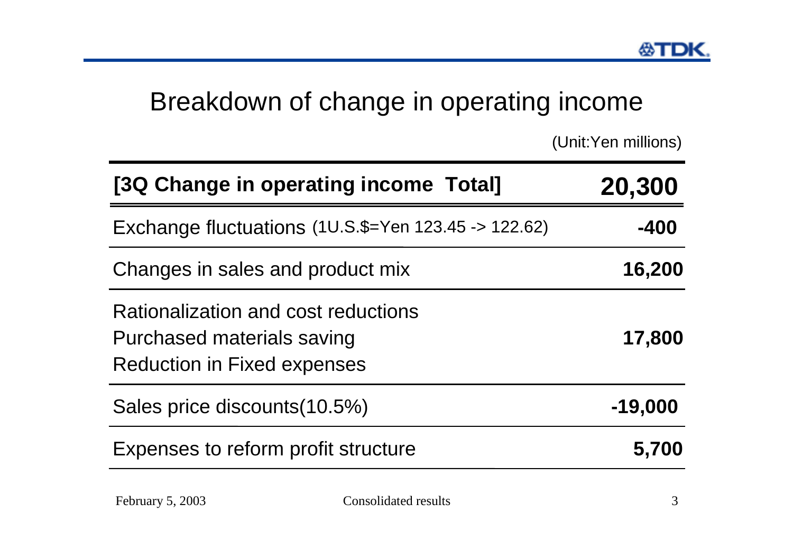### Breakdown of change in operating income

(Unit:Yen millions)

| [3Q Change in operating income Total]                                                                   | 20,300    |
|---------------------------------------------------------------------------------------------------------|-----------|
| Exchange fluctuations (1U.S.\$=Yen 123.45 -> 122.62)                                                    | -400      |
| Changes in sales and product mix                                                                        | 16,200    |
| Rationalization and cost reductions<br>Purchased materials saving<br><b>Reduction in Fixed expenses</b> | 17,800    |
| Sales price discounts (10.5%)                                                                           | $-19,000$ |
| Expenses to reform profit structure                                                                     | 5,700     |
|                                                                                                         |           |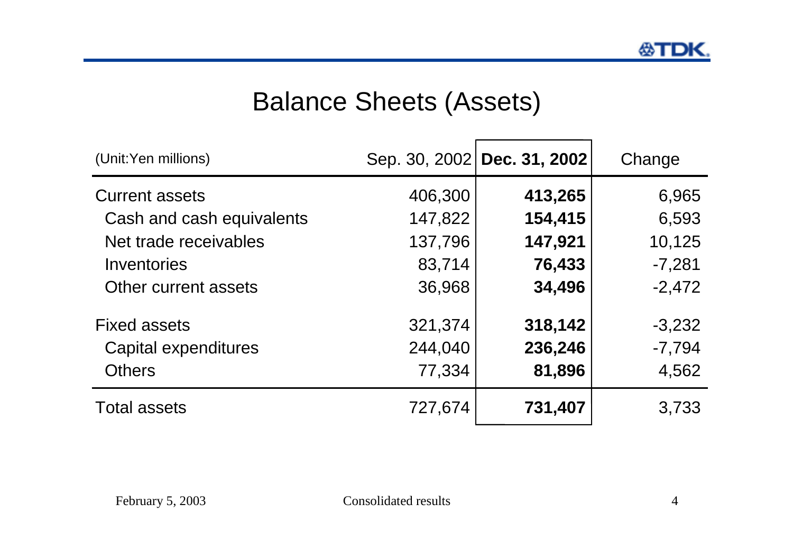# Balance Sheets (Assets)

| (Unit:Yen millions)       |         | Sep. 30, 2002 Dec. 31, 2002 | Change   |
|---------------------------|---------|-----------------------------|----------|
| <b>Current assets</b>     | 406,300 | 413,265                     | 6,965    |
| Cash and cash equivalents | 147,822 | 154,415                     | 6,593    |
| Net trade receivables     | 137,796 | 147,921                     | 10,125   |
| Inventories               | 83,714  | 76,433                      | $-7,281$ |
| Other current assets      | 36,968  | 34,496                      | $-2,472$ |
| <b>Fixed assets</b>       | 321,374 | 318,142                     | $-3,232$ |
| Capital expenditures      | 244,040 | 236,246                     | $-7,794$ |
| <b>Others</b>             | 77,334  | 81,896                      | 4,562    |
| <b>Total assets</b>       | 727,674 | 731,407                     | 3,733    |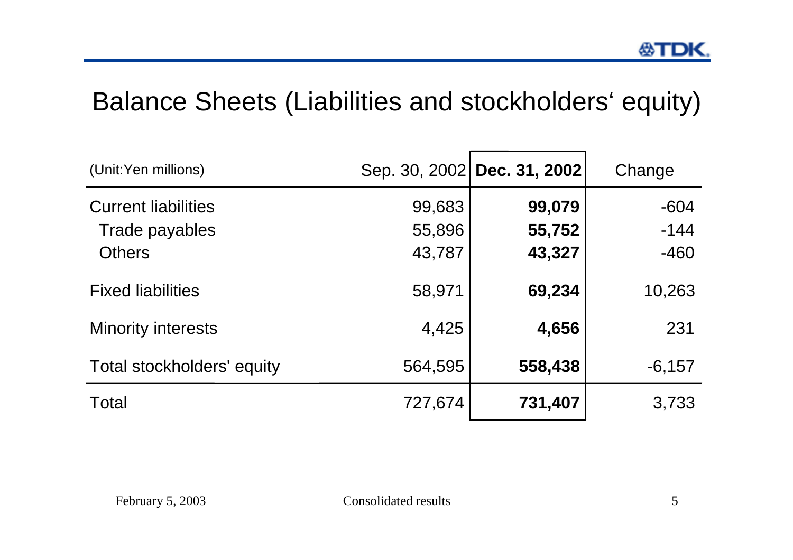## Balance Sheets (Liabilities and stockholders' equity)

| (Unit:Yen millions)                                           |                            | Sep. 30, 2002 Dec. 31, 2002 | Change                     |
|---------------------------------------------------------------|----------------------------|-----------------------------|----------------------------|
| <b>Current liabilities</b><br>Trade payables<br><b>Others</b> | 99,683<br>55,896<br>43,787 | 99,079<br>55,752<br>43,327  | $-604$<br>$-144$<br>$-460$ |
| <b>Fixed liabilities</b>                                      | 58,971                     | 69,234                      | 10,263                     |
| <b>Minority interests</b>                                     | 4,425                      | 4,656                       | 231                        |
| Total stockholders' equity                                    | 564,595                    | 558,438                     | $-6,157$                   |
| Total                                                         | 727,674                    | 731,407                     | 3,733                      |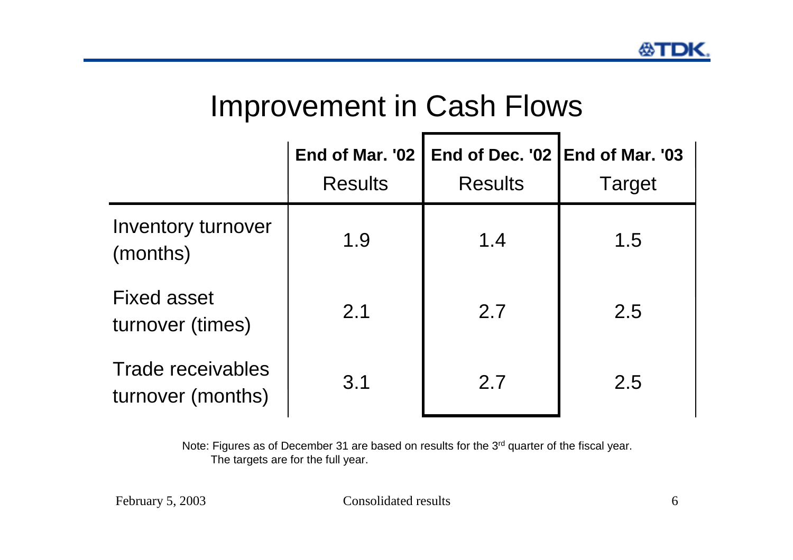# Improvement in Cash Flows

|                                        | End of Mar. '02<br><b>Results</b> | End of Dec. '02<br><b>Results</b> | <b>IEnd of Mar. '03</b><br><b>Target</b> |
|----------------------------------------|-----------------------------------|-----------------------------------|------------------------------------------|
| Inventory turnover<br>(months)         | 1.9                               | 1.4                               | 1.5                                      |
| <b>Fixed asset</b><br>turnover (times) | 2.1                               | 2.7                               | 2.5                                      |
| Trade receivables<br>turnover (months) | 3.1                               | 2.7                               | 2.5                                      |

Note: Figures as of December 31 are based on results for the 3<sup>rd</sup> quarter of the fiscal year. The targets are for the full year.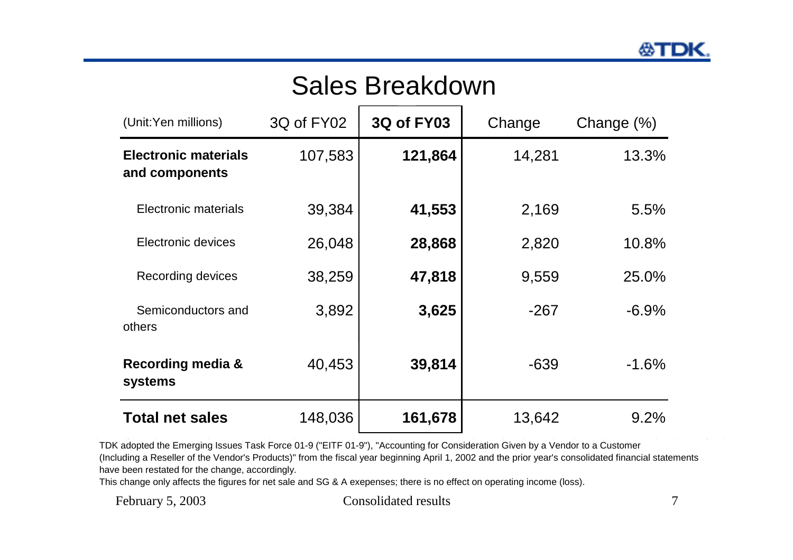# Sales Breakdown

| (Unit:Yen millions)                           | 3Q of FY02 | <b>3Q of FY03</b> | Change | Change $(\%)$ |
|-----------------------------------------------|------------|-------------------|--------|---------------|
| <b>Electronic materials</b><br>and components | 107,583    | 121,864           | 14,281 | 13.3%         |
| Electronic materials                          | 39,384     | 41,553            | 2,169  | 5.5%          |
| Electronic devices                            | 26,048     | 28,868            | 2,820  | 10.8%         |
| Recording devices                             | 38,259     | 47,818            | 9,559  | 25.0%         |
| Semiconductors and<br>others                  | 3,892      | 3,625             | $-267$ | $-6.9\%$      |
| <b>Recording media &amp;</b><br>systems       | 40,453     | 39,814            | $-639$ | $-1.6%$       |
| <b>Total net sales</b>                        | 148,036    | 161,678           | 13,642 | 9.2%          |

TDK adopted the Emerging Issues Task Force 01-9 ("EITF 01-9"), "Accounting for Consideration Given by a Vendor to a Customer (Including a Reseller of the Vendor's Products)" from the fiscal year beginning April 1, 2002 and the prior year's consolidated financial statements have been restated for the change, accordingly.

This change only affects the figures for net sale and SG & A exepenses; there is no effect on operating income (loss).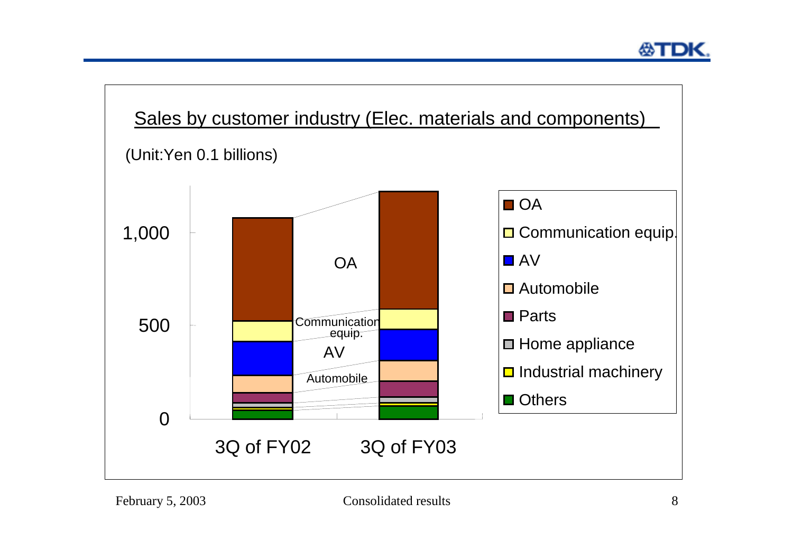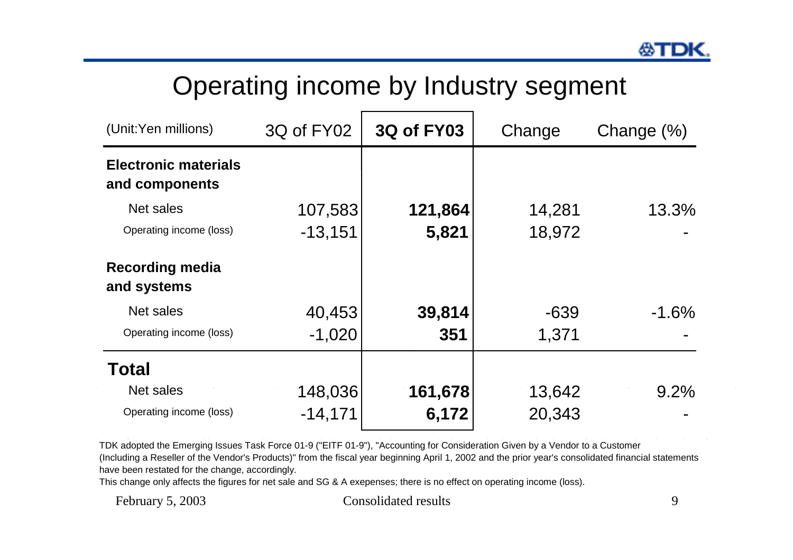# Operating income by Industry segment

| (Unit:Yen millions)                           | 3Q of FY02 | <b>3Q of FY03</b> | Change | Change $(\%)$ |  |
|-----------------------------------------------|------------|-------------------|--------|---------------|--|
| <b>Electronic materials</b><br>and components |            |                   |        |               |  |
| Net sales                                     | 107,583    | 121,864           | 14,281 | 13.3%         |  |
| Operating income (loss)                       | $-13,151$  | 5,821             | 18,972 |               |  |
| <b>Recording media</b><br>and systems         |            |                   |        |               |  |
| Net sales                                     | 40,453     | 39,814            | $-639$ | $-1.6%$       |  |
| Operating income (loss)                       | $-1,020$   | 351               | 1,371  |               |  |
| <b>Total</b>                                  |            |                   |        |               |  |
| Net sales                                     | 148,036    | 161,678           | 13,642 | 9.2%          |  |
| Operating income (loss)                       | $-14,171$  | 6,172             | 20,343 |               |  |

TDK adopted the Emerging Issues Task Force 01-9 ("EITF 01-9"), "Accounting for Consideration Given by a Vendor to a Customer (Including a Reseller of the Vendor's Products)" from the fiscal year beginning April 1, 2002 and the prior year's consolidated financial statements have been restated for the change, accordingly.

This change only affects the figures for net sale and SG & A exepenses; there is no effect on operating income (loss).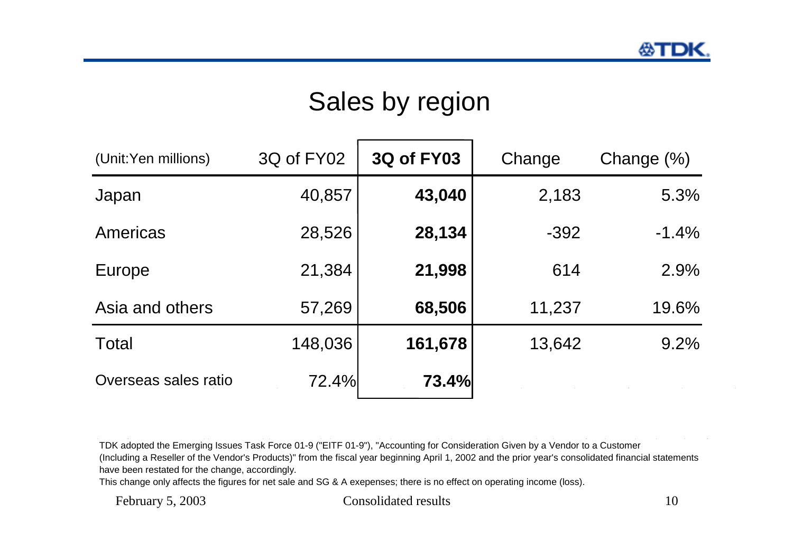# Sales by region

| (Unit:Yen millions)  | 3Q of FY02 | <b>3Q of FY03</b> | Change | Change $(\%)$ |
|----------------------|------------|-------------------|--------|---------------|
| Japan                | 40,857     | 43,040            | 2,183  | 5.3%          |
| Americas             | 28,526     | 28,134            | $-392$ | $-1.4%$       |
| Europe               | 21,384     | 21,998            | 614    | 2.9%          |
| Asia and others      | 57,269     | 68,506            | 11,237 | 19.6%         |
| Total                | 148,036    | 161,678           | 13,642 | 9.2%          |
| Overseas sales ratio | 72.4%      | 73.4%             |        |               |

TDK adopted the Emerging Issues Task Force 01-9 ("EITF 01-9"), "Accounting for Consideration Given by a Vendor to a Customer (Including a Reseller of the Vendor's Products)" from the fiscal year beginning April 1, 2002 and the prior year's consolidated financial statements

have been restated for the change, accordingly.

This change only affects the figures for net sale and SG & A exepenses; there is no effect on operating income (loss).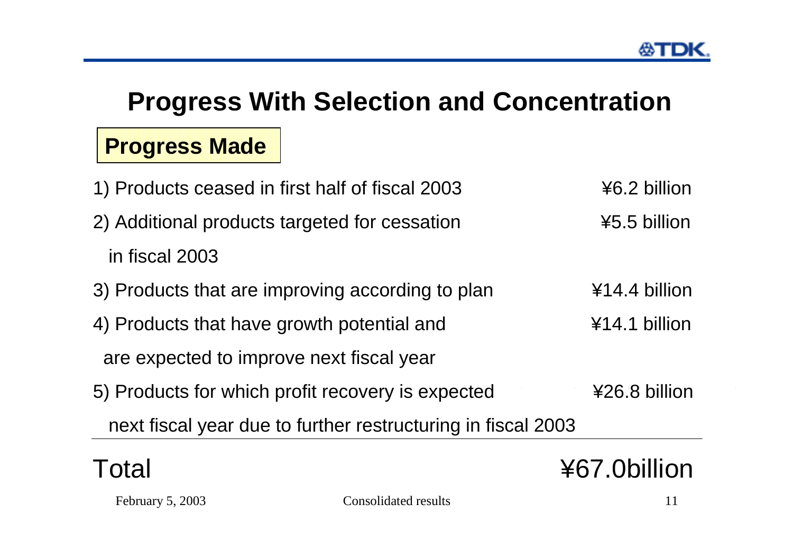# **Progress With Selection and Concentration**

#### **Progress Made**

| 1) Products ceased in first half of fiscal 2003              | ¥6.2 billion  |
|--------------------------------------------------------------|---------------|
| 2) Additional products targeted for cessation                | ¥5.5 billion  |
| in fiscal 2003                                               |               |
| 3) Products that are improving according to plan             | ¥14.4 billion |
| 4) Products that have growth potential and                   | ¥14.1 billion |
| are expected to improve next fiscal year                     |               |
| 5) Products for which profit recovery is expected            | ¥26.8 billion |
| next fiscal year due to further restructuring in fiscal 2003 |               |
|                                                              |               |



#### Total  $\angle$  467.0billion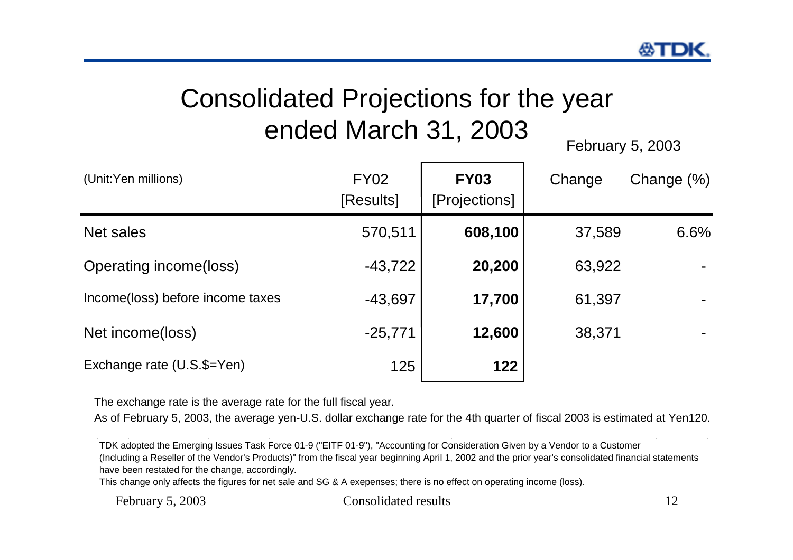# Consolidated Projections for the year ended March 31, 2003<br>February 5, 2003

| (Unit:Yen millions)              | <b>FY02</b><br>[Results] | <b>FY03</b><br>[Projections] | Change | Change $(\%)$ |
|----------------------------------|--------------------------|------------------------------|--------|---------------|
| Net sales                        | 570,511                  | 608,100                      | 37,589 | 6.6%          |
| Operating income(loss)           | $-43,722$                | 20,200                       | 63,922 |               |
| Income(loss) before income taxes | $-43,697$                | 17,700                       | 61,397 |               |
| Net income(loss)                 | $-25,771$                | 12,600                       | 38,371 |               |
| Exchange rate (U.S.\$=Yen)       | 125                      | 122                          |        |               |

The exchange rate is the average rate for the full fiscal year.

As of February 5, 2003, the average yen-U.S. dollar exchange rate for the 4th quarter of fiscal 2003 is estimated at Yen120.

TDK adopted the Emerging Issues Task Force 01-9 ("EITF 01-9"), "Accounting for Consideration Given by a Vendor to a Customer (Including a Reseller of the Vendor's Products)" from the fiscal year beginning April 1, 2002 and the prior year's consolidated financial statements have been restated for the change, accordingly.

This change only affects the figures for net sale and SG & A exepenses; there is no effect on operating income (loss).